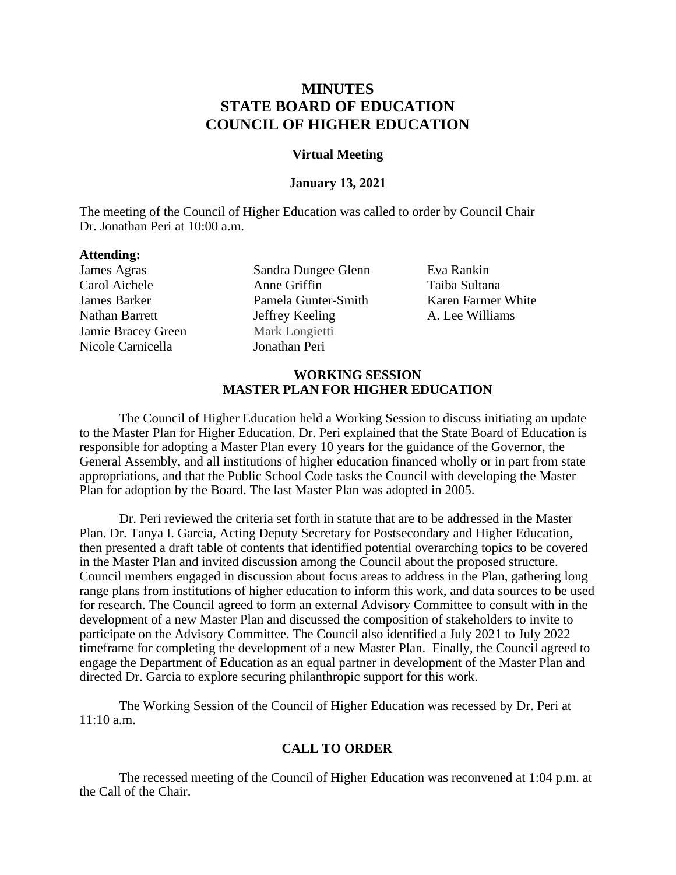# **MINUTES STATE BOARD OF EDUCATION COUNCIL OF HIGHER EDUCATION**

#### **Virtual Meeting**

#### **January 13, 2021**

The meeting of the Council of Higher Education was called to order by Council Chair Dr. Jonathan Peri at 10:00 a.m.

## **Attending:**

James Agras Carol Aichele James Barker Nathan Barrett Jamie Bracey Green Nicole Carnicella

Sandra Dungee Glenn Anne Griffin Pamela Gunter-Smith Jeffrey Keeling Mark Longietti Jonathan Peri

Eva Rankin Taiba Sultana Karen Farmer White A. Lee Williams

## **WORKING SESSION MASTER PLAN FOR HIGHER EDUCATION**

The Council of Higher Education held a Working Session to discuss initiating an update to the Master Plan for Higher Education. Dr. Peri explained that the State Board of Education is responsible for adopting a Master Plan every 10 years for the guidance of the Governor, the General Assembly, and all institutions of higher education financed wholly or in part from state appropriations, and that the Public School Code tasks the Council with developing the Master Plan for adoption by the Board. The last Master Plan was adopted in 2005.

Dr. Peri reviewed the criteria set forth in statute that are to be addressed in the Master Plan. Dr. Tanya I. Garcia, Acting Deputy Secretary for Postsecondary and Higher Education, then presented a draft table of contents that identified potential overarching topics to be covered in the Master Plan and invited discussion among the Council about the proposed structure. Council members engaged in discussion about focus areas to address in the Plan, gathering long range plans from institutions of higher education to inform this work, and data sources to be used for research. The Council agreed to form an external Advisory Committee to consult with in the development of a new Master Plan and discussed the composition of stakeholders to invite to participate on the Advisory Committee. The Council also identified a July 2021 to July 2022 timeframe for completing the development of a new Master Plan. Finally, the Council agreed to engage the Department of Education as an equal partner in development of the Master Plan and directed Dr. Garcia to explore securing philanthropic support for this work.

The Working Session of the Council of Higher Education was recessed by Dr. Peri at  $11:10$  a.m.

# **CALL TO ORDER**

The recessed meeting of the Council of Higher Education was reconvened at 1:04 p.m. at the Call of the Chair.